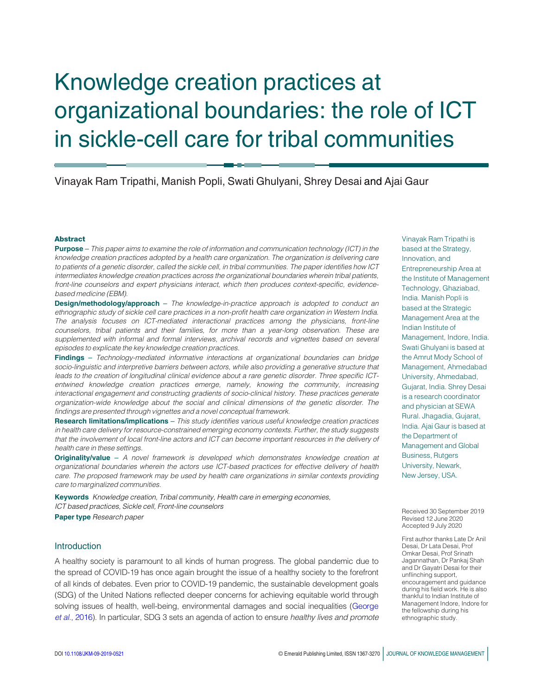# Knowledge creation practices at organizational boundaries: the role of ICT in sickle-cell care for tribal communities

## Vinayak Ram Tripathi, Manish Popli, Swati Ghulyani, Shrey Desai and Ajai Gaur

### Abstract

Purpose – *This paper aims to examine the role of information and communication technology (ICT) in the knowledge creation practices adopted by a health care organization. The organization is delivering care to patients of a genetic disorder, called the sickle cell, in tribal communities. The paper identifies how ICT intermediates knowledge creation practices across the organizational boundaries wherein tribal patients, front-line counselors and expert physicians interact, which then produces context-specific, evidencebased medicine (EBM).*

Design/methodology/approach – *The knowledge-in-practice approach is adopted to conduct an ethnographic study of sickle cell care practices in a non-profit health care organization in Western India. The analysis focuses on ICT-mediated interactional practices among the physicians, front-line counselors, tribal patients and their families, for more than a year-long observation. These are supplemented with informal and formal interviews, archival records and vignettes based on several episodes to explicate the key knowledge creation practices.*

Findings – *Technology-mediated informative interactions at organizational boundaries can bridge socio-linguistic and interpretive barriers between actors, while also providing a generative structure that leads to the creation of longitudinal clinical evidence about a rare genetic disorder. Three specific ICTentwined knowledge creation practices emerge, namely, knowing the community, increasing interactional engagement and constructing gradients of socio-clinical history. These practices generate organization-wide knowledge about the social and clinical dimensions of the genetic disorder. The findings are presented through vignettes and a novel conceptual framework.*

Research limitations/implications – *This study identifies various useful knowledge creation practices in health care delivery for resource-constrained emerging economy contexts. Further, the study suggests that the involvement of local front-line actors and ICT can become important resources in the delivery of health care in these settings.*

Originality/value – *A novel framework is developed which demonstrates knowledge creation at organizational boundaries wherein the actors use ICT-based practices for effective delivery of health care. The proposed framework may be used by health care organizations in similar contexts providing care to marginalized communities.*

Keywords *Knowledge creation, Tribal community, Health care in emerging economies, ICT based practices, Sickle cell, Front-line counselors*

Paper type *Research paper*

### **Introduction**

A healthy society is paramount to all kinds of human progress. The global pandemic due to the spread of COVID-19 has once again brought the issue of a healthy society to the forefront of all kinds of debates. Even prior to COVID-19 pandemic, the sustainable development goals (SDG) of the United Nations reflected deeper concerns for achieving equitable world through solving issues of health, well-being, environmental damages and social inequalities (George *et al.*, 2016). In particular, SDG 3 sets an agenda of action to ensure *healthy lives and promote* Vinayak Ram Tripathi is based at the Strategy, Innovation, and Entrepreneurship Area at the Institute of Management Technology, Ghaziabad, India. Manish Popli is based at the Strategic Management Area at the Indian Institute of Management, Indore, India. Swati Ghulyani is based at the Amrut Mody School of Management, Ahmedabad University, Ahmedabad, Gujarat, India. Shrey Desai is a research coordinator and physician at SEWA Rural. Jhagadia, Gujarat, India. Ajai Gaur is based at the Department of Management and Global Business, Rutgers University, Newark, New Jersey, USA.

Received 30 September 2019 Revised 12 June 2020 Accepted 9 July 2020

First author thanks Late Dr Anil Desai, Dr Lata Desai, Prof Omkar Desai, Prof Srinath Jagannathan, Dr Pankaj Shah and Dr Gayatri Desai for their unflinching support, encouragement and guidance during his field work. He is also thankful to Indian Institute of Management Indore, Indore for the fellowship during his ethnographic study.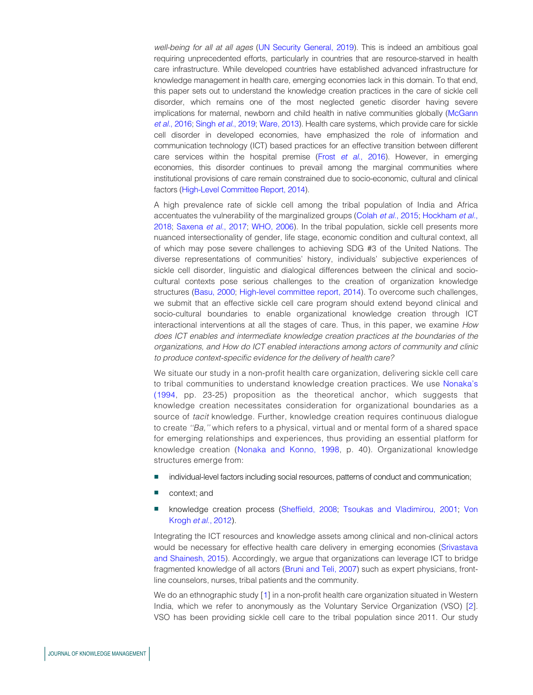*well-being for all at all ages* (UN Security General, 2019). This is indeed an ambitious goal requiring unprecedented efforts, particularly in countries that are resource-starved in health care infrastructure. While developed countries have established advanced infrastructure for knowledge management in health care, emerging economies lack in this domain. To that end, this paper sets out to understand the knowledge creation practices in the care of sickle cell disorder, which remains one of the most neglected genetic disorder having severe implications for maternal, newborn and child health in native communities globally (McGann *et al.*, 2016; Singh *et al.*, 2019; Ware, 2013). Health care systems, which provide care for sickle cell disorder in developed economies, have emphasized the role of information and communication technology (ICT) based practices for an effective transition between different care services within the hospital premise (Frost *et al.*, 2016). However, in emerging economies, this disorder continues to prevail among the marginal communities where institutional provisions of care remain constrained due to socio-economic, cultural and clinical factors (High-Level Committee Report, 2014).

A high prevalence rate of sickle cell among the tribal population of India and Africa accentuates the vulnerability of the marginalized groups (Colah *et al.*, 2015; Hockham *et al.*, 2018; Saxena *et al.*, 2017; WHO, 2006). In the tribal population, sickle cell presents more nuanced intersectionality of gender, life stage, economic condition and cultural context, all of which may pose severe challenges to achieving SDG #3 of the United Nations. The diverse representations of communities' history, individuals' subjective experiences of sickle cell disorder, linguistic and dialogical differences between the clinical and sociocultural contexts pose serious challenges to the creation of organization knowledge structures (Basu, 2000; High-level committee report, 2014). To overcome such challenges, we submit that an effective sickle cell care program should extend beyond clinical and socio-cultural boundaries to enable organizational knowledge creation through ICT interactional interventions at all the stages of care. Thus, in this paper, we examine *How does ICT enables and intermediate knowledge creation practices at the boundaries of the organizations, and How do ICT enabled interactions among actors of community and clinic to produce context-specific evidence for the delivery of health care?*

We situate our study in a non-profit health care organization, delivering sickle cell care to tribal communities to understand knowledge creation practices. We use Nonaka's (1994, pp. 23-25) proposition as the theoretical anchor, which suggests that knowledge creation necessitates consideration for organizational boundaries as a source of *tacit* knowledge. Further, knowledge creation requires continuous dialogue to create *''Ba,''* which refers to a physical, virtual and or mental form of a shared space for emerging relationships and experiences, thus providing an essential platform for knowledge creation (Nonaka and Konno, 1998, p. 40). Organizational knowledge structures emerge from:

- individual-level factors including social resources, patterns of conduct and communication;
- context; and
- knowledge creation process (Sheffield, 2008; Tsoukas and Vladimirou, 2001; Von Krogh *et al.*, 2012).

Integrating the ICT resources and knowledge assets among clinical and non-clinical actors would be necessary for effective health care delivery in emerging economies (Srivastava and Shainesh, 2015). Accordingly, we argue that organizations can leverage ICT to bridge fragmented knowledge of all actors (Bruni and Teli, 2007) such as expert physicians, frontline counselors, nurses, tribal patients and the community.

We do an ethnographic study [1] in a non-profit health care organization situated in Western India, which we refer to anonymously as the Voluntary Service Organization (VSO) [2]. VSO has been providing sickle cell care to the tribal population since 2011. Our study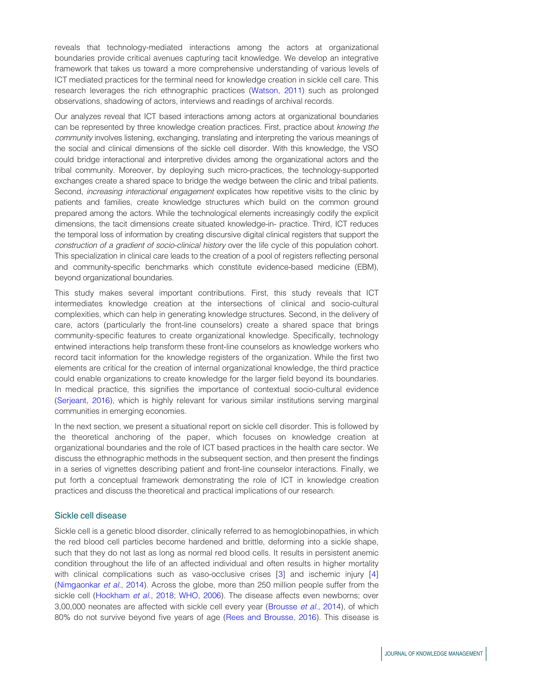reveals that technology-mediated interactions among the actors at organizational boundaries provide critical avenues capturing tacit knowledge. We develop an integrative framework that takes us toward a more comprehensive understanding of various levels of ICT mediated practices for the terminal need for knowledge creation in sickle cell care. This research leverages the rich ethnographic practices (Watson, 2011) such as prolonged observations, shadowing of actors, interviews and readings of archival records.

Our analyzes reveal that ICT based interactions among actors at organizational boundaries can be represented by three knowledge creation practices. First, practice about *knowing the community* involves listening, exchanging, translating and interpreting the various meanings of the social and clinical dimensions of the sickle cell disorder. With this knowledge, the VSO could bridge interactional and interpretive divides among the organizational actors and the tribal community. Moreover, by deploying such micro-practices, the technology-supported exchanges create a shared space to bridge the wedge between the clinic and tribal patients. Second, *increasing interactional engagement* explicates how repetitive visits to the clinic by patients and families, create knowledge structures which build on the common ground prepared among the actors. While the technological elements increasingly codify the explicit dimensions, the tacit dimensions create situated knowledge-in- practice. Third, ICT reduces the temporal loss of information by creating discursive digital clinical registers that support the *construction of a gradient of socio-clinical history* over the life cycle of this population cohort. This specialization in clinical care leads to the creation of a pool of registers reflecting personal and community-specific benchmarks which constitute evidence-based medicine (EBM), beyond organizational boundaries.

This study makes several important contributions. First, this study reveals that ICT intermediates knowledge creation at the intersections of clinical and socio-cultural complexities, which can help in generating knowledge structures. Second, in the delivery of care, actors (particularly the front-line counselors) create a shared space that brings community-specific features to create organizational knowledge. Specifically, technology entwined interactions help transform these front-line counselors as knowledge workers who record tacit information for the knowledge registers of the organization. While the first two elements are critical for the creation of internal organizational knowledge, the third practice could enable organizations to create knowledge for the larger field beyond its boundaries. In medical practice, this signifies the importance of contextual socio-cultural evidence (Serjeant, 2016), which is highly relevant for various similar institutions serving marginal communities in emerging economies.

In the next section, we present a situational report on sickle cell disorder. This is followed by the theoretical anchoring of the paper, which focuses on knowledge creation at organizational boundaries and the role of ICT based practices in the health care sector. We discuss the ethnographic methods in the subsequent section, and then present the findings in a series of vignettes describing patient and front-line counselor interactions. Finally, we put forth a conceptual framework demonstrating the role of ICT in knowledge creation practices and discuss the theoretical and practical implications of our research.

### Sickle cell disease

Sickle cell is a genetic blood disorder, clinically referred to as hemoglobinopathies, in which the red blood cell particles become hardened and brittle, deforming into a sickle shape, such that they do not last as long as normal red blood cells. It results in persistent anemic condition throughout the life of an affected individual and often results in higher mortality with clinical complications such as vaso-occlusive crises [3] and ischemic injury [4] (Nimgaonkar *et al.*, 2014). Across the globe, more than 250 million people suffer from the sickle cell (Hockham *et al.*, 2018; WHO, 2006). The disease affects even newborns; over 3,00,000 neonates are affected with sickle cell every year (Brousse *et al.*, 2014), of which 80% do not survive beyond five years of age (Rees and Brousse, 2016). This disease is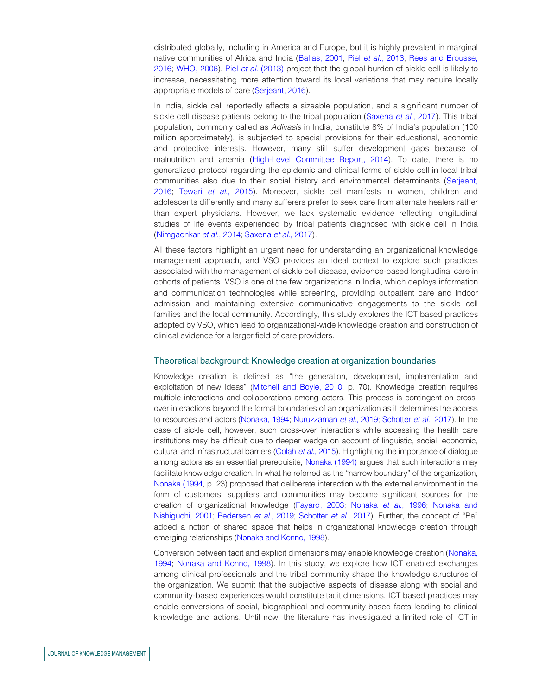distributed globally, including in America and Europe, but it is highly prevalent in marginal native communities of Africa and India (Ballas, 2001; Piel *et al.*, 2013; Rees and Brousse, 2016; WHO, 2006). Piel *et al.* (2013) project that the global burden of sickle cell is likely to increase, necessitating more attention toward its local variations that may require locally appropriate models of care (Serjeant, 2016).

In India, sickle cell reportedly affects a sizeable population, and a significant number of sickle cell disease patients belong to the tribal population (Saxena *et al.*, 2017). This tribal population, commonly called as *Adivasis* in India, constitute 8% of India's population (100 million approximately), is subjected to special provisions for their educational, economic and protective interests. However, many still suffer development gaps because of malnutrition and anemia (High-Level Committee Report, 2014). To date, there is no generalized protocol regarding the epidemic and clinical forms of sickle cell in local tribal communities also due to their social history and environmental determinants (Serjeant, 2016; Tewari *et al.*, 2015). Moreover, sickle cell manifests in women, children and adolescents differently and many sufferers prefer to seek care from alternate healers rather than expert physicians. However, we lack systematic evidence reflecting longitudinal studies of life events experienced by tribal patients diagnosed with sickle cell in India (Nimgaonkar *et al.*, 2014; Saxena *et al.*, 2017).

All these factors highlight an urgent need for understanding an organizational knowledge management approach, and VSO provides an ideal context to explore such practices associated with the management of sickle cell disease, evidence-based longitudinal care in cohorts of patients. VSO is one of the few organizations in India, which deploys information and communication technologies while screening, providing outpatient care and indoor admission and maintaining extensive communicative engagements to the sickle cell families and the local community. Accordingly, this study explores the ICT based practices adopted by VSO, which lead to organizational-wide knowledge creation and construction of clinical evidence for a larger field of care providers.

### Theoretical background: Knowledge creation at organization boundaries

Knowledge creation is defined as "the generation, development, implementation and exploitation of new ideas" (Mitchell and Boyle, 2010, p. 70). Knowledge creation requires multiple interactions and collaborations among actors. This process is contingent on crossover interactions beyond the formal boundaries of an organization as it determines the access to resources and actors (Nonaka, 1994; Nuruzzaman *et al.*, 2019; Schotter *et al.*, 2017). In the case of sickle cell, however, such cross-over interactions while accessing the health care institutions may be difficult due to deeper wedge on account of linguistic, social, economic, cultural and infrastructural barriers (Colah *et al.*, 2015). Highlighting the importance of dialogue among actors as an essential prerequisite, Nonaka (1994) argues that such interactions may facilitate knowledge creation. In what he referred as the "narrow boundary" of the organization, Nonaka (1994, p. 23) proposed that deliberate interaction with the external environment in the form of customers, suppliers and communities may become significant sources for the creation of organizational knowledge (Fayard, 2003; Nonaka *et al.*, 1996; Nonaka and Nishiguchi, 2001; Pedersen *et al.*, 2019; Schotter *et al.*, 2017). Further, the concept of "Ba" added a notion of shared space that helps in organizational knowledge creation through emerging relationships (Nonaka and Konno, 1998).

Conversion between tacit and explicit dimensions may enable knowledge creation (Nonaka, 1994; Nonaka and Konno, 1998). In this study, we explore how ICT enabled exchanges among clinical professionals and the tribal community shape the knowledge structures of the organization. We submit that the subjective aspects of disease along with social and community-based experiences would constitute tacit dimensions. ICT based practices may enable conversions of social, biographical and community-based facts leading to clinical knowledge and actions. Until now, the literature has investigated a limited role of ICT in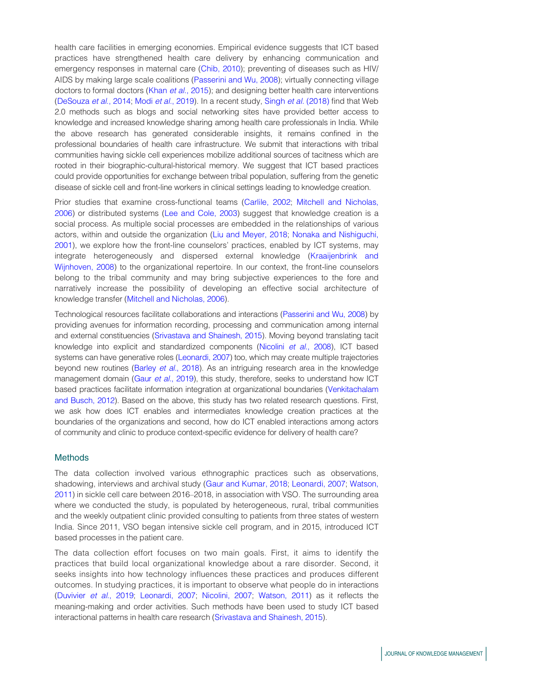health care facilities in emerging economies. Empirical evidence suggests that ICT based practices have strengthened health care delivery by enhancing communication and emergency responses in maternal care (Chib, 2010); preventing of diseases such as HIV/ AIDS by making large scale coalitions (Passerini and Wu, 2008); virtually connecting village doctors to formal doctors (Khan *et al.*, 2015); and designing better health care interventions (DeSouza *et al.*, 2014; Modi *et al.*, 2019). In a recent study, Singh *et al.* (2018) find that Web 2.0 methods such as blogs and social networking sites have provided better access to knowledge and increased knowledge sharing among health care professionals in India. While the above research has generated considerable insights, it remains confined in the professional boundaries of health care infrastructure. We submit that interactions with tribal communities having sickle cell experiences mobilize additional sources of tacitness which are rooted in their biographic-cultural-historical memory. We suggest that ICT based practices could provide opportunities for exchange between tribal population, suffering from the genetic disease of sickle cell and front-line workers in clinical settings leading to knowledge creation.

Prior studies that examine cross-functional teams (Carlile, 2002; Mitchell and Nicholas, 2006) or distributed systems (Lee and Cole, 2003) suggest that knowledge creation is a social process. As multiple social processes are embedded in the relationships of various actors, within and outside the organization (Liu and Meyer, 2018; Nonaka and Nishiguchi, 2001), we explore how the front-line counselors' practices, enabled by ICT systems, may integrate heterogeneously and dispersed external knowledge (Kraaijenbrink and Wijnhoven, 2008) to the organizational repertoire. In our context, the front-line counselors belong to the tribal community and may bring subjective experiences to the fore and narratively increase the possibility of developing an effective social architecture of knowledge transfer (Mitchell and Nicholas, 2006).

Technological resources facilitate collaborations and interactions (Passerini and Wu, 2008) by providing avenues for information recording, processing and communication among internal and external constituencies (Srivastava and Shainesh, 2015). Moving beyond translating tacit knowledge into explicit and standardized components (Nicolini *et al.*, 2008), ICT based systems can have generative roles (Leonardi, 2007) too, which may create multiple trajectories beyond new routines (Barley *et al.*, 2018). As an intriguing research area in the knowledge management domain (Gaur *et al.*, 2019), this study, therefore, seeks to understand how ICT based practices facilitate information integration at organizational boundaries (Venkitachalam and Busch, 2012). Based on the above, this study has two related research questions. First, we ask how does ICT enables and intermediates knowledge creation practices at the boundaries of the organizations and second, how do ICT enabled interactions among actors of community and clinic to produce context-specific evidence for delivery of health care?

### Methods

The data collection involved various ethnographic practices such as observations, shadowing, interviews and archival study (Gaur and Kumar, 2018; Leonardi, 2007; Watson, 2011) in sickle cell care between 2016–2018, in association with VSO. The surrounding area where we conducted the study, is populated by heterogeneous, rural, tribal communities and the weekly outpatient clinic provided consulting to patients from three states of western India. Since 2011, VSO began intensive sickle cell program, and in 2015, introduced ICT based processes in the patient care.

The data collection effort focuses on two main goals. First, it aims to identify the practices that build local organizational knowledge about a rare disorder. Second, it seeks insights into how technology influences these practices and produces different outcomes. In studying practices, it is important to observe what people do in interactions (Duvivier *et al.*, 2019; Leonardi, 2007; Nicolini, 2007; Watson, 2011) as it reflects the meaning-making and order activities. Such methods have been used to study ICT based interactional patterns in health care research (Srivastava and Shainesh, 2015).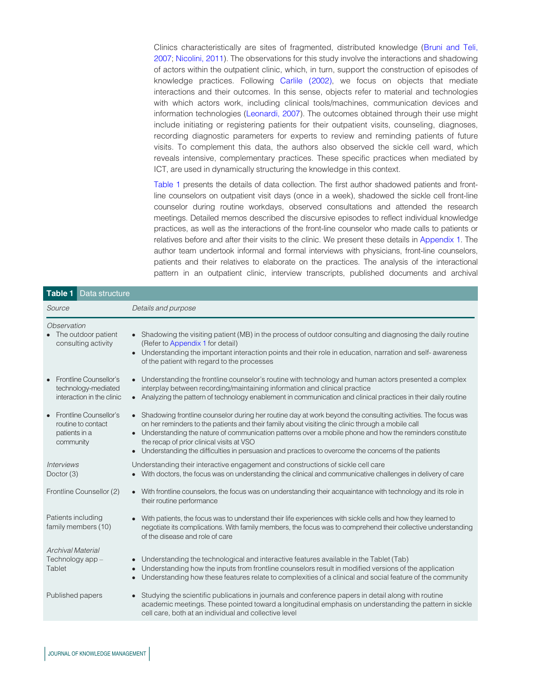Clinics characteristically are sites of fragmented, distributed knowledge (Bruni and Teli, 2007; Nicolini, 2011). The observations for this study involve the interactions and shadowing of actors within the outpatient clinic, which, in turn, support the construction of episodes of knowledge practices. Following Carlile (2002), we focus on objects that mediate interactions and their outcomes. In this sense, objects refer to material and technologies with which actors work, including clinical tools/machines, communication devices and information technologies (Leonardi, 2007). The outcomes obtained through their use might include initiating or registering patients for their outpatient visits, counseling, diagnoses, recording diagnostic parameters for experts to review and reminding patients of future visits. To complement this data, the authors also observed the sickle cell ward, which reveals intensive, complementary practices. These specific practices when mediated by ICT, are used in dynamically structuring the knowledge in this context.

Table 1 presents the details of data collection. The first author shadowed patients and frontline counselors on outpatient visit days (once in a week), shadowed the sickle cell front-line counselor during routine workdays, observed consultations and attended the research meetings. Detailed memos described the discursive episodes to reflect individual knowledge practices, as well as the interactions of the front-line counselor who made calls to patients or relatives before and after their visits to the clinic. We present these details in Appendix 1. The author team undertook informal and formal interviews with physicians, front-line counselors, patients and their relatives to elaborate on the practices. The analysis of the interactional pattern in an outpatient clinic, interview transcripts, published documents and archival

| Table 1<br>Data structure                                                                      |                                                                                                                                                                                                                                                                                                                                                                                                                                                                                    |  |
|------------------------------------------------------------------------------------------------|------------------------------------------------------------------------------------------------------------------------------------------------------------------------------------------------------------------------------------------------------------------------------------------------------------------------------------------------------------------------------------------------------------------------------------------------------------------------------------|--|
| Source                                                                                         | Details and purpose                                                                                                                                                                                                                                                                                                                                                                                                                                                                |  |
| Observation<br>The outdoor patient<br>consulting activity                                      | Shadowing the visiting patient (MB) in the process of outdoor consulting and diagnosing the daily routine<br>(Refer to Appendix 1 for detail)<br>Understanding the important interaction points and their role in education, narration and self- awareness<br>of the patient with regard to the processes                                                                                                                                                                          |  |
| <b>Frontline Counsellor's</b><br>technology-mediated<br>interaction in the clinic              | • Understanding the frontline counselor's routine with technology and human actors presented a complex<br>interplay between recording/maintaining information and clinical practice<br>Analyzing the pattern of technology enablement in communication and clinical practices in their daily routine                                                                                                                                                                               |  |
| <b>Frontline Counsellor's</b><br>$\bullet$<br>routine to contact<br>patients in a<br>community | • Shadowing frontline counselor during her routine day at work beyond the consulting activities. The focus was<br>on her reminders to the patients and their family about visiting the clinic through a mobile call<br>Understanding the nature of communication patterns over a mobile phone and how the reminders constitute<br>the recap of prior clinical visits at VSO<br>Understanding the difficulties in persuasion and practices to overcome the concerns of the patients |  |
| <i><b>Interviews</b></i><br>Doctor (3)                                                         | Understanding their interactive engagement and constructions of sickle cell care<br>With doctors, the focus was on understanding the clinical and communicative challenges in delivery of care                                                                                                                                                                                                                                                                                     |  |
| Frontline Counsellor (2)                                                                       | • With frontline counselors, the focus was on understanding their acquaintance with technology and its role in<br>their routine performance                                                                                                                                                                                                                                                                                                                                        |  |
| Patients including<br>family members (10)                                                      | With patients, the focus was to understand their life experiences with sickle cells and how they learned to<br>negotiate its complications. With family members, the focus was to comprehend their collective understanding<br>of the disease and role of care                                                                                                                                                                                                                     |  |
| <b>Archival Material</b><br>Technology app-<br>Tablet                                          | • Understanding the technological and interactive features available in the Tablet (Tab)<br>Understanding how the inputs from frontline counselors result in modified versions of the application<br>Understanding how these features relate to complexities of a clinical and social feature of the community<br>$\bullet$                                                                                                                                                        |  |
| Published papers                                                                               | Studying the scientific publications in journals and conference papers in detail along with routine<br>$\bullet$<br>academic meetings. These pointed toward a longitudinal emphasis on understanding the pattern in sickle<br>cell care, both at an individual and collective level                                                                                                                                                                                                |  |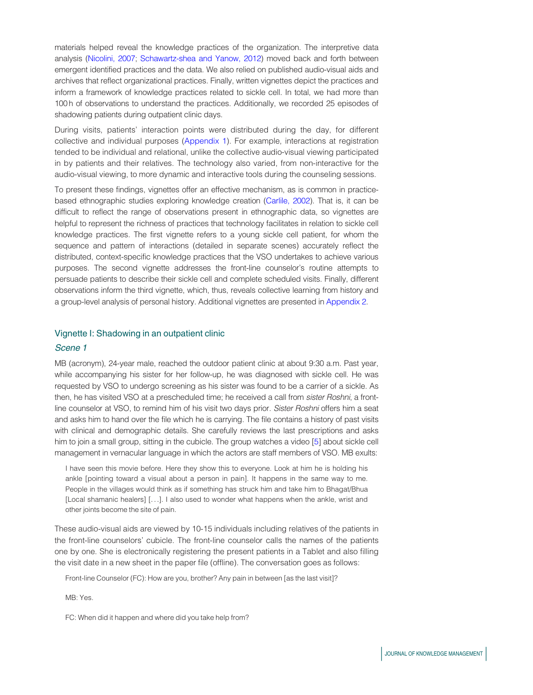materials helped reveal the knowledge practices of the organization. The interpretive data analysis (Nicolini, 2007; Schawartz-shea and Yanow, 2012) moved back and forth between emergent identified practices and the data. We also relied on published audio-visual aids and archives that reflect organizational practices. Finally, written vignettes depict the practices and inform a framework of knowledge practices related to sickle cell. In total, we had more than 100 h of observations to understand the practices. Additionally, we recorded 25 episodes of shadowing patients during outpatient clinic days.

During visits, patients' interaction points were distributed during the day, for different collective and individual purposes (Appendix 1). For example, interactions at registration tended to be individual and relational, unlike the collective audio-visual viewing participated in by patients and their relatives. The technology also varied, from non-interactive for the audio-visual viewing, to more dynamic and interactive tools during the counseling sessions.

To present these findings, vignettes offer an effective mechanism, as is common in practicebased ethnographic studies exploring knowledge creation (Carlile, 2002). That is, it can be difficult to reflect the range of observations present in ethnographic data, so vignettes are helpful to represent the richness of practices that technology facilitates in relation to sickle cell knowledge practices. The first vignette refers to a young sickle cell patient, for whom the sequence and pattern of interactions (detailed in separate scenes) accurately reflect the distributed, context-specific knowledge practices that the VSO undertakes to achieve various purposes. The second vignette addresses the front-line counselor's routine attempts to persuade patients to describe their sickle cell and complete scheduled visits. Finally, different observations inform the third vignette, which, thus, reveals collective learning from history and a group-level analysis of personal history. Additional vignettes are presented in Appendix 2.

### Vignette I: Shadowing in an outpatient clinic

### Scene 1

MB (acronym), 24-year male, reached the outdoor patient clinic at about 9:30 a.m. Past year, while accompanying his sister for her follow-up, he was diagnosed with sickle cell. He was requested by VSO to undergo screening as his sister was found to be a carrier of a sickle. As then, he has visited VSO at a prescheduled time; he received a call from *sister Roshni*, a frontline counselor at VSO, to remind him of his visit two days prior. *Sister Roshni* offers him a seat and asks him to hand over the file which he is carrying. The file contains a history of past visits with clinical and demographic details. She carefully reviews the last prescriptions and asks him to join a small group, sitting in the cubicle. The group watches a video [5] about sickle cell management in vernacular language in which the actors are staff members of VSO. MB exults:

I have seen this movie before. Here they show this to everyone. Look at him he is holding his ankle [pointing toward a visual about a person in pain]. It happens in the same way to me. People in the villages would think as if something has struck him and take him to Bhagat/Bhua [Local shamanic healers] [...]. I also used to wonder what happens when the ankle, wrist and other joints become the site of pain.

These audio-visual aids are viewed by 10-15 individuals including relatives of the patients in the front-line counselors' cubicle. The front-line counselor calls the names of the patients one by one. She is electronically registering the present patients in a Tablet and also filling the visit date in a new sheet in the paper file (offline). The conversation goes as follows:

Front-line Counselor (FC): How are you, brother? Any pain in between [as the last visit]?

MB: Yes.

FC: When did it happen and where did you take help from?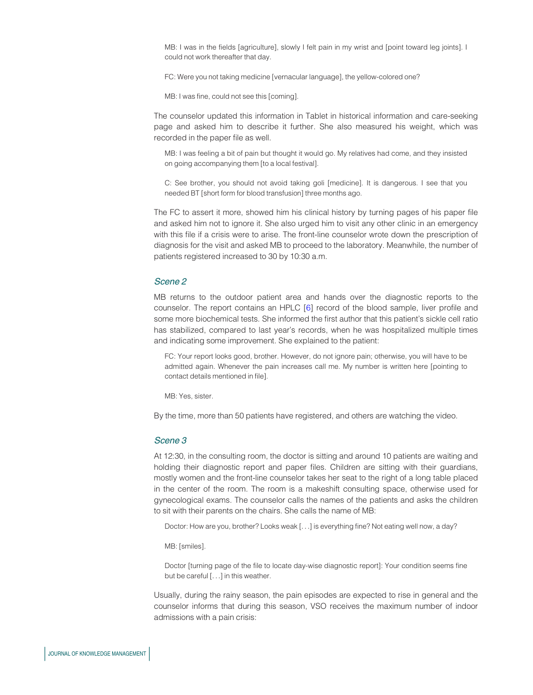MB: I was in the fields [agriculture], slowly I felt pain in my wrist and [point toward leg joints]. I could not work thereafter that day.

FC: Were you not taking medicine [vernacular language], the yellow-colored one?

MB: I was fine, could not see this [coming].

The counselor updated this information in Tablet in historical information and care-seeking page and asked him to describe it further. She also measured his weight, which was recorded in the paper file as well.

MB: I was feeling a bit of pain but thought it would go. My relatives had come, and they insisted on going accompanying them [to a local festival].

C: See brother, you should not avoid taking goli [medicine]. It is dangerous. I see that you needed BT [short form for blood transfusion] three months ago.

The FC to assert it more, showed him his clinical history by turning pages of his paper file and asked him not to ignore it. She also urged him to visit any other clinic in an emergency with this file if a crisis were to arise. The front-line counselor wrote down the prescription of diagnosis for the visit and asked MB to proceed to the laboratory. Meanwhile, the number of patients registered increased to 30 by 10:30 a.m.

### Scene 2

MB returns to the outdoor patient area and hands over the diagnostic reports to the counselor. The report contains an HPLC [6] record of the blood sample, liver profile and some more biochemical tests. She informed the first author that this patient's sickle cell ratio has stabilized, compared to last year's records, when he was hospitalized multiple times and indicating some improvement. She explained to the patient:

FC: Your report looks good, brother. However, do not ignore pain; otherwise, you will have to be admitted again. Whenever the pain increases call me. My number is written here [pointing to contact details mentioned in file].

MB: Yes, sister.

By the time, more than 50 patients have registered, and others are watching the video.

### Scene 3

At 12:30, in the consulting room, the doctor is sitting and around 10 patients are waiting and holding their diagnostic report and paper files. Children are sitting with their guardians, mostly women and the front-line counselor takes her seat to the right of a long table placed in the center of the room. The room is a makeshift consulting space, otherwise used for gynecological exams. The counselor calls the names of the patients and asks the children to sit with their parents on the chairs. She calls the name of MB:

Doctor: How are you, brother? Looks weak [...] is everything fine? Not eating well now, a day?

MB: [smiles].

Doctor [turning page of the file to locate day-wise diagnostic report]: Your condition seems fine but be careful [...] in this weather.

Usually, during the rainy season, the pain episodes are expected to rise in general and the counselor informs that during this season, VSO receives the maximum number of indoor admissions with a pain crisis: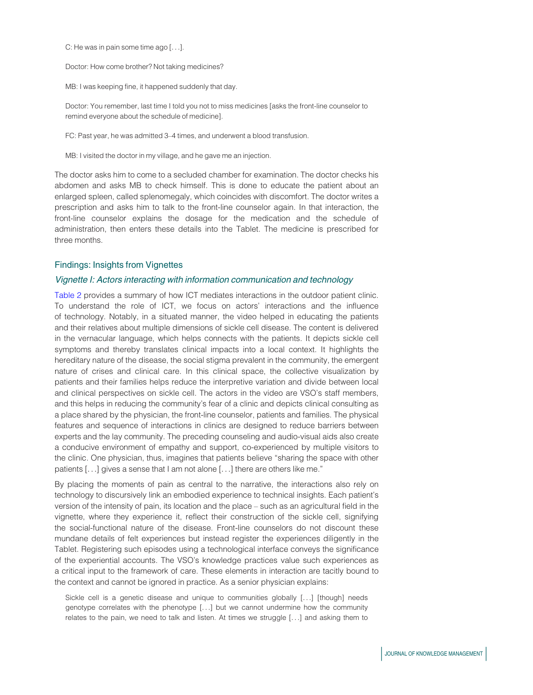C: He was in pain some time ago [...].

Doctor: How come brother? Not taking medicines?

MB: I was keeping fine, it happened suddenly that day.

Doctor: You remember, last time I told you not to miss medicines [asks the front-line counselor to remind everyone about the schedule of medicine].

FC: Past year, he was admitted 3–4 times, and underwent a blood transfusion.

MB: I visited the doctor in my village, and he gave me an injection.

The doctor asks him to come to a secluded chamber for examination. The doctor checks his abdomen and asks MB to check himself. This is done to educate the patient about an enlarged spleen, called splenomegaly, which coincides with discomfort. The doctor writes a prescription and asks him to talk to the front-line counselor again. In that interaction, the front-line counselor explains the dosage for the medication and the schedule of administration, then enters these details into the Tablet. The medicine is prescribed for three months.

### Findings: Insights from Vignettes

### Vignette I: Actors interacting with information communication and technology

Table 2 provides a summary of how ICT mediates interactions in the outdoor patient clinic. To understand the role of ICT, we focus on actors' interactions and the influence of technology. Notably, in a situated manner, the video helped in educating the patients and their relatives about multiple dimensions of sickle cell disease. The content is delivered in the vernacular language, which helps connects with the patients. It depicts sickle cell symptoms and thereby translates clinical impacts into a local context. It highlights the hereditary nature of the disease, the social stigma prevalent in the community, the emergent nature of crises and clinical care. In this clinical space, the collective visualization by patients and their families helps reduce the interpretive variation and divide between local and clinical perspectives on sickle cell. The actors in the video are VSO's staff members, and this helps in reducing the community's fear of a clinic and depicts clinical consulting as a place shared by the physician, the front-line counselor, patients and families. The physical features and sequence of interactions in clinics are designed to reduce barriers between experts and the lay community. The preceding counseling and audio-visual aids also create a conducive environment of empathy and support, co-experienced by multiple visitors to the clinic. One physician, thus, imagines that patients believe "sharing the space with other patients [...] gives a sense that I am not alone [...] there are others like me."

By placing the moments of pain as central to the narrative, the interactions also rely on technology to discursively link an embodied experience to technical insights. Each patient's version of the intensity of pain, its location and the place – such as an agricultural field in the vignette, where they experience it, reflect their construction of the sickle cell, signifying the social-functional nature of the disease. Front-line counselors do not discount these mundane details of felt experiences but instead register the experiences diligently in the Tablet. Registering such episodes using a technological interface conveys the significance of the experiential accounts. The VSO's knowledge practices value such experiences as a critical input to the framework of care. These elements in interaction are tacitly bound to the context and cannot be ignored in practice. As a senior physician explains:

Sickle cell is a genetic disease and unique to communities globally [...] [though] needs genotype correlates with the phenotype [...] but we cannot undermine how the community relates to the pain, we need to talk and listen. At times we struggle [...] and asking them to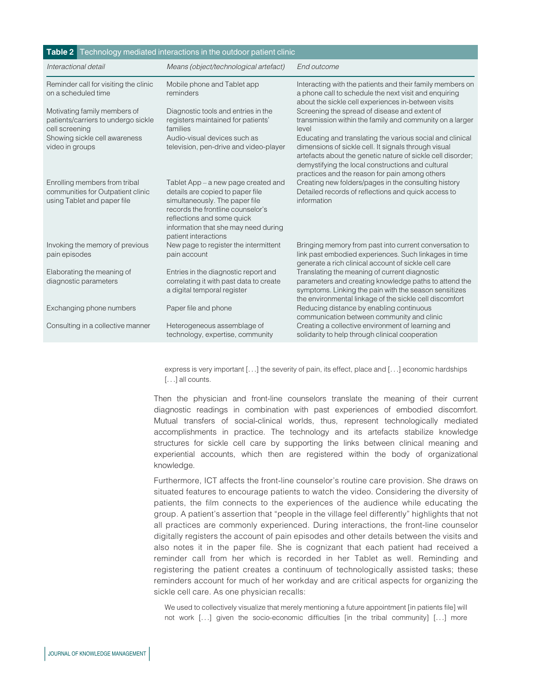| Table 2 Technology mediated interactions in the outdoor patient clinic                            |                                                                                                                                                                                                                                              |                                                                                                                                                                                                                                                                                         |  |  |
|---------------------------------------------------------------------------------------------------|----------------------------------------------------------------------------------------------------------------------------------------------------------------------------------------------------------------------------------------------|-----------------------------------------------------------------------------------------------------------------------------------------------------------------------------------------------------------------------------------------------------------------------------------------|--|--|
| Interactional detail                                                                              | Means (object/technological artefact)                                                                                                                                                                                                        | End outcome                                                                                                                                                                                                                                                                             |  |  |
| Reminder call for visiting the clinic<br>on a scheduled time                                      | Mobile phone and Tablet app<br>reminders                                                                                                                                                                                                     | Interacting with the patients and their family members on<br>a phone call to schedule the next visit and enquiring<br>about the sickle cell experiences in-between visits                                                                                                               |  |  |
| Motivating family members of<br>patients/carriers to undergo sickle<br>cell screening             | Diagnostic tools and entries in the<br>registers maintained for patients'<br>families                                                                                                                                                        | Screening the spread of disease and extent of<br>transmission within the family and community on a larger<br>level                                                                                                                                                                      |  |  |
| Showing sickle cell awareness<br>video in groups                                                  | Audio-visual devices such as<br>television, pen-drive and video-player                                                                                                                                                                       | Educating and translating the various social and clinical<br>dimensions of sickle cell. It signals through visual<br>artefacts about the genetic nature of sickle cell disorder;<br>demystifying the local constructions and cultural<br>practices and the reason for pain among others |  |  |
| Enrolling members from tribal<br>communities for Outpatient clinic<br>using Tablet and paper file | Tablet App – a new page created and<br>details are copied to paper file<br>simultaneously. The paper file<br>records the frontline counselor's<br>reflections and some quick<br>information that she may need during<br>patient interactions | Creating new folders/pages in the consulting history<br>Detailed records of reflections and quick access to<br>information                                                                                                                                                              |  |  |
| Invoking the memory of previous<br>pain episodes                                                  | New page to register the intermittent<br>pain account                                                                                                                                                                                        | Bringing memory from past into current conversation to<br>link past embodied experiences. Such linkages in time<br>generate a rich clinical account of sickle cell care                                                                                                                 |  |  |
| Elaborating the meaning of<br>diagnostic parameters                                               | Entries in the diagnostic report and<br>correlating it with past data to create<br>a digital temporal register                                                                                                                               | Translating the meaning of current diagnostic<br>parameters and creating knowledge paths to attend the<br>symptoms. Linking the pain with the season sensitizes<br>the environmental linkage of the sickle cell discomfort                                                              |  |  |
| Exchanging phone numbers                                                                          | Paper file and phone                                                                                                                                                                                                                         | Reducing distance by enabling continuous<br>communication between community and clinic                                                                                                                                                                                                  |  |  |
| Consulting in a collective manner                                                                 | Heterogeneous assemblage of<br>technology, expertise, community                                                                                                                                                                              | Creating a collective environment of learning and<br>solidarity to help through clinical cooperation                                                                                                                                                                                    |  |  |

express is very important [...] the severity of pain, its effect, place and [...] economic hardships [...] all counts.

Then the physician and front-line counselors translate the meaning of their current diagnostic readings in combination with past experiences of embodied discomfort. Mutual transfers of social-clinical worlds, thus, represent technologically mediated accomplishments in practice. The technology and its artefacts stabilize knowledge structures for sickle cell care by supporting the links between clinical meaning and experiential accounts, which then are registered within the body of organizational knowledge.

Furthermore, ICT affects the front-line counselor's routine care provision. She draws on situated features to encourage patients to watch the video. Considering the diversity of patients, the film connects to the experiences of the audience while educating the group. A patient's assertion that "people in the village feel differently" highlights that not all practices are commonly experienced. During interactions, the front-line counselor digitally registers the account of pain episodes and other details between the visits and also notes it in the paper file. She is cognizant that each patient had received a reminder call from her which is recorded in her Tablet as well. Reminding and registering the patient creates a continuum of technologically assisted tasks; these reminders account for much of her workday and are critical aspects for organizing the sickle cell care. As one physician recalls:

We used to collectively visualize that merely mentioning a future appointment [in patients file] will not work [...] given the socio-economic difficulties [in the tribal community] [...] more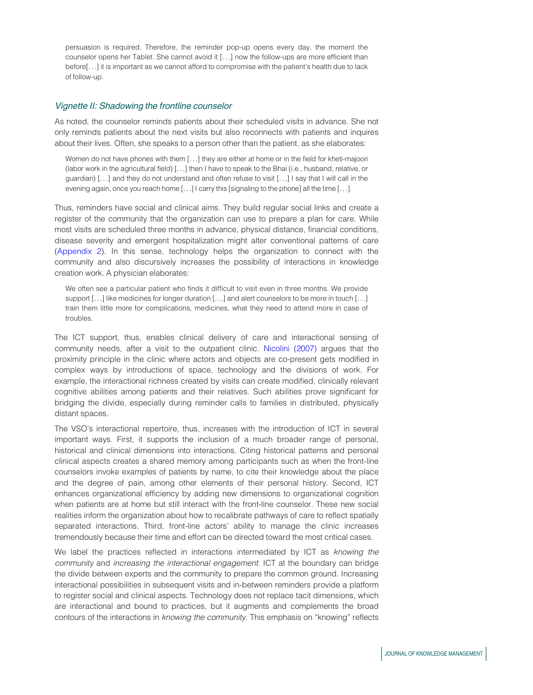persuasion is required. Therefore, the reminder pop-up opens every day, the moment the counselor opens her Tablet. She cannot avoid it [...] now the follow-ups are more efficient than before[...] it is important as we cannot afford to compromise with the patient's health due to lack of follow-up.

### Vignette II: Shadowing the frontline counselor

As noted, the counselor reminds patients about their scheduled visits in advance. She not only reminds patients about the next visits but also reconnects with patients and inquires about their lives. Often, she speaks to a person other than the patient, as she elaborates:

Women do not have phones with them [...] they are either at home or in the field for kheti-majoori (labor work in the agricultural field) [...] then I have to speak to the Bhai (i.e., husband, relative, or guardian) [...] and they do not understand and often refuse to visit [...] I say that I will call in the evening again, once you reach home [...] I carry this [signaling to the phone] all the time [...].

Thus, reminders have social and clinical aims. They build regular social links and create a register of the community that the organization can use to prepare a plan for care. While most visits are scheduled three months in advance, physical distance, financial conditions, disease severity and emergent hospitalization might alter conventional patterns of care (Appendix 2). In this sense, technology helps the organization to connect with the community and also discursively increases the possibility of interactions in knowledge creation work. A physician elaborates:

We often see a particular patient who finds it difficult to visit even in three months. We provide support [...] like medicines for longer duration [...] and alert counselors to be more in touch [...] train them little more for complications, medicines, what they need to attend more in case of troubles.

The ICT support, thus, enables clinical delivery of care and interactional sensing of community needs, after a visit to the outpatient clinic. Nicolini (2007) argues that the proximity principle in the clinic where actors and objects are co-present gets modified in complex ways by introductions of space, technology and the divisions of work. For example, the interactional richness created by visits can create modified, clinically relevant cognitive abilities among patients and their relatives. Such abilities prove significant for bridging the divide, especially during reminder calls to families in distributed, physically distant spaces.

The VSO's interactional repertoire, thus, increases with the introduction of ICT in several important ways. First, it supports the inclusion of a much broader range of personal, historical and clinical dimensions into interactions. Citing historical patterns and personal clinical aspects creates a shared memory among participants such as when the front-line counselors invoke examples of patients by name, to cite their knowledge about the place and the degree of pain, among other elements of their personal history. Second, ICT enhances organizational efficiency by adding new dimensions to organizational cognition when patients are at home but still interact with the front-line counselor. These new social realities inform the organization about how to recalibrate pathways of care to reflect spatially separated interactions. Third, front-line actors' ability to manage the clinic increases tremendously because their time and effort can be directed toward the most critical cases.

We label the practices reflected in interactions intermediated by ICT as *knowing the community* and *increasing the interactional engagement.* ICT at the boundary can bridge the divide between experts and the community to prepare the common ground. Increasing interactional possibilities in subsequent visits and in-between reminders provide a platform to register social and clinical aspects. Technology does not replace tacit dimensions, which are interactional and bound to practices, but it augments and complements the broad contours of the interactions in *knowing the community*. This emphasis on "knowing" reflects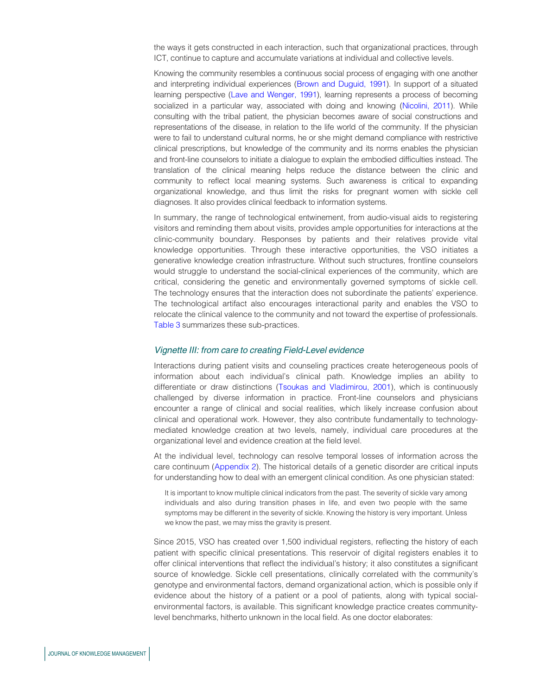the ways it gets constructed in each interaction, such that organizational practices, through ICT, continue to capture and accumulate variations at individual and collective levels.

Knowing the community resembles a continuous social process of engaging with one another and interpreting individual experiences (Brown and Duguid, 1991). In support of a situated learning perspective (Lave and Wenger, 1991), learning represents a process of becoming socialized in a particular way, associated with doing and knowing (Nicolini, 2011). While consulting with the tribal patient, the physician becomes aware of social constructions and representations of the disease, in relation to the life world of the community. If the physician were to fail to understand cultural norms, he or she might demand compliance with restrictive clinical prescriptions, but knowledge of the community and its norms enables the physician and front-line counselors to initiate a dialogue to explain the embodied difficulties instead. The translation of the clinical meaning helps reduce the distance between the clinic and community to reflect local meaning systems. Such awareness is critical to expanding organizational knowledge, and thus limit the risks for pregnant women with sickle cell diagnoses. It also provides clinical feedback to information systems.

In summary, the range of technological entwinement, from audio-visual aids to registering visitors and reminding them about visits, provides ample opportunities for interactions at the clinic-community boundary. Responses by patients and their relatives provide vital knowledge opportunities. Through these interactive opportunities, the VSO initiates a generative knowledge creation infrastructure. Without such structures, frontline counselors would struggle to understand the social-clinical experiences of the community, which are critical, considering the genetic and environmentally governed symptoms of sickle cell. The technology ensures that the interaction does not subordinate the patients' experience. The technological artifact also encourages interactional parity and enables the VSO to relocate the clinical valence to the community and not toward the expertise of professionals. Table 3 summarizes these sub-practices.

### Vignette III: from care to creating Field-Level evidence

Interactions during patient visits and counseling practices create heterogeneous pools of information about each individual's clinical path. Knowledge implies an ability to differentiate or draw distinctions (Tsoukas and Vladimirou, 2001), which is continuously challenged by diverse information in practice. Front-line counselors and physicians encounter a range of clinical and social realities, which likely increase confusion about clinical and operational work. However, they also contribute fundamentally to technologymediated knowledge creation at two levels, namely, individual care procedures at the organizational level and evidence creation at the field level.

At the individual level, technology can resolve temporal losses of information across the care continuum (Appendix 2). The historical details of a genetic disorder are critical inputs for understanding how to deal with an emergent clinical condition. As one physician stated:

It is important to know multiple clinical indicators from the past. The severity of sickle vary among individuals and also during transition phases in life, and even two people with the same symptoms may be different in the severity of sickle. Knowing the history is very important. Unless we know the past, we may miss the gravity is present.

Since 2015, VSO has created over 1,500 individual registers, reflecting the history of each patient with specific clinical presentations. This reservoir of digital registers enables it to offer clinical interventions that reflect the individual's history; it also constitutes a significant source of knowledge. Sickle cell presentations, clinically correlated with the community's genotype and environmental factors, demand organizational action, which is possible only if evidence about the history of a patient or a pool of patients, along with typical socialenvironmental factors, is available. This significant knowledge practice creates communitylevel benchmarks, hitherto unknown in the local field. As one doctor elaborates: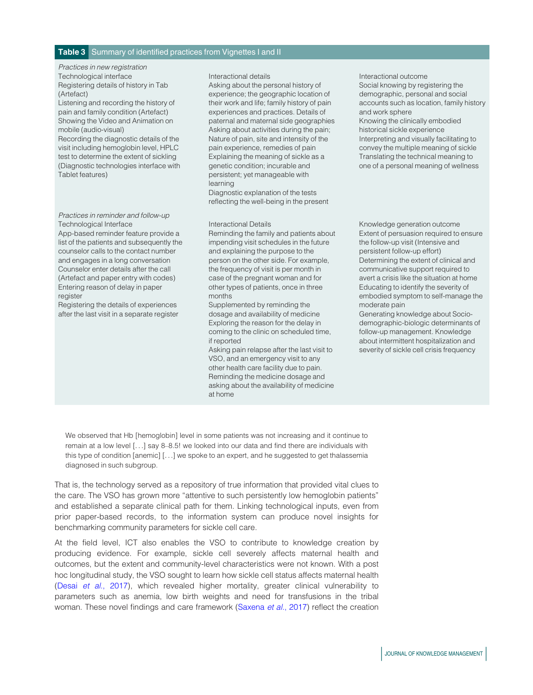### Table 3 Summary of identified practices from Vignettes I and II

*Practices in new registration* Technological interface **Interactional details** Interactional outcome Registering details of history in Tab (Artefact)

Listening and recording the history of pain and family condition (Artefact) Showing the Video and Animation on mobile (audio-visual)

Recording the diagnostic details of the visit including hemoglobin level, HPLC test to determine the extent of sickling (Diagnostic technologies interface with Tablet features)

### *Practices in reminder and follow-up* Technological Interface **Interactional Details Interactional Details** Knowledge generation outcome

App-based reminder feature provide a list of the patients and subsequently the counselor calls to the contact number and engages in a long conversation Counselor enter details after the call (Artefact and paper entry with codes) Entering reason of delay in paper register

Registering the details of experiences after the last visit in a separate register

Asking about the personal history of experience; the geographic location of their work and life; family history of pain experiences and practices. Details of paternal and maternal side geographies Asking about activities during the pain; Nature of pain, site and intensity of the pain experience, remedies of pain Explaining the meaning of sickle as a genetic condition; incurable and persistent; yet manageable with learning

Diagnostic explanation of the tests reflecting the well-being in the present

Reminding the family and patients about impending visit schedules in the future and explaining the purpose to the person on the other side. For example, the frequency of visit is per month in case of the pregnant woman and for other types of patients, once in three months

Supplemented by reminding the dosage and availability of medicine Exploring the reason for the delay in coming to the clinic on scheduled time, if reported

Asking pain relapse after the last visit to VSO, and an emergency visit to any other health care facility due to pain. Reminding the medicine dosage and asking about the availability of medicine at home

Social knowing by registering the demographic, personal and social accounts such as location, family history and work sphere Knowing the clinically embodied historical sickle experience Interpreting and visually facilitating to convey the multiple meaning of sickle Translating the technical meaning to one of a personal meaning of wellness

Extent of persuasion required to ensure the follow-up visit (Intensive and persistent follow-up effort) Determining the extent of clinical and communicative support required to avert a crisis like the situation at home Educating to identify the severity of embodied symptom to self-manage the moderate pain

Generating knowledge about Sociodemographic-biologic determinants of follow-up management. Knowledge about intermittent hospitalization and severity of sickle cell crisis frequency

We observed that Hb [hemoglobin] level in some patients was not increasing and it continue to remain at a low level [...] say 8–8.5! we looked into our data and find there are individuals with this type of condition [anemic] [...] we spoke to an expert, and he suggested to get thalassemia diagnosed in such subgroup.

That is, the technology served as a repository of true information that provided vital clues to the care. The VSO has grown more "attentive to such persistently low hemoglobin patients" and established a separate clinical path for them. Linking technological inputs, even from prior paper-based records, to the information system can produce novel insights for benchmarking community parameters for sickle cell care.

At the field level, ICT also enables the VSO to contribute to knowledge creation by producing evidence. For example, sickle cell severely affects maternal health and outcomes, but the extent and community-level characteristics were not known. With a post hoc longitudinal study, the VSO sought to learn how sickle cell status affects maternal health (Desai *et al.*, 2017), which revealed higher mortality, greater clinical vulnerability to parameters such as anemia, low birth weights and need for transfusions in the tribal woman. These novel findings and care framework (Saxena *et al.*, 2017) reflect the creation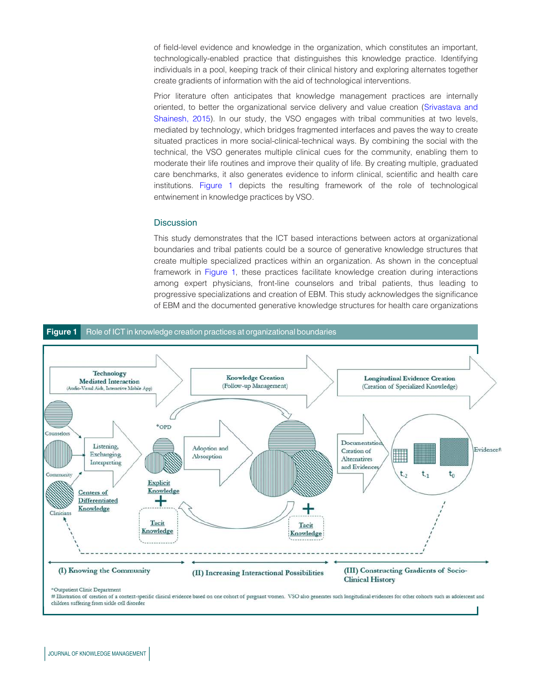of field-level evidence and knowledge in the organization, which constitutes an important, technologically-enabled practice that distinguishes this knowledge practice. Identifying individuals in a pool, keeping track of their clinical history and exploring alternates together create gradients of information with the aid of technological interventions.

Prior literature often anticipates that knowledge management practices are internally oriented, to better the organizational service delivery and value creation (Srivastava and Shainesh, 2015). In our study, the VSO engages with tribal communities at two levels, mediated by technology, which bridges fragmented interfaces and paves the way to create situated practices in more social-clinical-technical ways. By combining the social with the technical, the VSO generates multiple clinical cues for the community, enabling them to moderate their life routines and improve their quality of life. By creating multiple, graduated care benchmarks, it also generates evidence to inform clinical, scientific and health care institutions. Figure 1 depicts the resulting framework of the role of technological entwinement in knowledge practices by VSO.

### **Discussion**

This study demonstrates that the ICT based interactions between actors at organizational boundaries and tribal patients could be a source of generative knowledge structures that create multiple specialized practices within an organization. As shown in the conceptual framework in Figure 1, these practices facilitate knowledge creation during interactions among expert physicians, front-line counselors and tribal patients, thus leading to progressive specializations and creation of EBM. This study acknowledges the significance of EBM and the documented generative knowledge structures for health care organizations



# Illustration of creation of a context-specific clinical evidence based on one cohort of pregnant women. VSO also generates such longitudinal evidences for other cohorts such as adolescent and children suffering from sickle cell disorder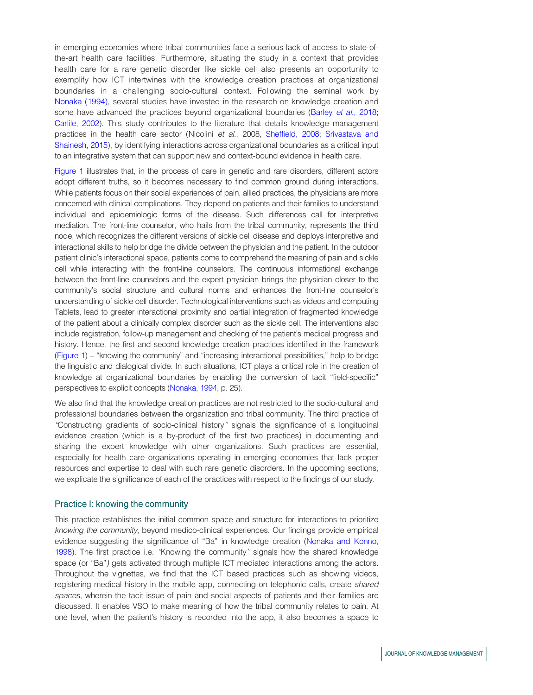in emerging economies where tribal communities face a serious lack of access to state-ofthe-art health care facilities. Furthermore, situating the study in a context that provides health care for a rare genetic disorder like sickle cell also presents an opportunity to exemplify how ICT intertwines with the knowledge creation practices at organizational boundaries in a challenging socio-cultural context. Following the seminal work by Nonaka (1994), several studies have invested in the research on knowledge creation and some have advanced the practices beyond organizational boundaries (Barley *et al.*, 2018; Carlile, 2002). This study contributes to the literature that details knowledge management practices in the health care sector (Nicolini *et al.*, 2008, Sheffield, 2008; Srivastava and Shainesh, 2015), by identifying interactions across organizational boundaries as a critical input to an integrative system that can support new and context-bound evidence in health care.

Figure 1 illustrates that, in the process of care in genetic and rare disorders, different actors adopt different truths, so it becomes necessary to find common ground during interactions. While patients focus on their social experiences of pain, allied practices, the physicians are more concerned with clinical complications. They depend on patients and their families to understand individual and epidemiologic forms of the disease. Such differences call for interpretive mediation. The front-line counselor, who hails from the tribal community, represents the third node, which recognizes the different versions of sickle cell disease and deploys interpretive and interactional skills to help bridge the divide between the physician and the patient. In the outdoor patient clinic's interactional space, patients come to comprehend the meaning of pain and sickle cell while interacting with the front-line counselors. The continuous informational exchange between the front-line counselors and the expert physician brings the physician closer to the community's social structure and cultural norms and enhances the front-line counselor's understanding of sickle cell disorder. Technological interventions such as videos and computing Tablets, lead to greater interactional proximity and partial integration of fragmented knowledge of the patient about a clinically complex disorder such as the sickle cell. The interventions also include registration, follow-up management and checking of the patient's medical progress and history. Hence, the first and second knowledge creation practices identified in the framework (Figure 1) – "knowing the community" and "increasing interactional possibilities," help to bridge the linguistic and dialogical divide. In such situations, ICT plays a critical role in the creation of knowledge at organizational boundaries by enabling the conversion of tacit "field-specific" perspectives to explicit concepts (Nonaka, 1994, p. 25).

We also find that the knowledge creation practices are not restricted to the socio-cultural and professional boundaries between the organization and tribal community. The third practice of *''*Constructing gradients of socio-clinical history*''* signals the significance of a longitudinal evidence creation (which is a by-product of the first two practices) in documenting and sharing the expert knowledge with other organizations. Such practices are essential, especially for health care organizations operating in emerging economies that lack proper resources and expertise to deal with such rare genetic disorders. In the upcoming sections, we explicate the significance of each of the practices with respect to the findings of our study.

### Practice I: knowing the community

This practice establishes the initial common space and structure for interactions to prioritize *knowing the community*, beyond medico-clinical experiences. Our findings provide empirical evidence suggesting the significance of "Ba" in knowledge creation (Nonaka and Konno, 1998). The first practice i.e. *''*Knowing the community*''* signals how the shared knowledge space (or "Ba"*)* gets activated through multiple ICT mediated interactions among the actors. Throughout the vignettes, we find that the ICT based practices such as showing videos, registering medical history in the mobile app, connecting on telephonic calls, create *shared spaces,* wherein the tacit issue of pain and social aspects of patients and their families are discussed. It enables VSO to make meaning of how the tribal community relates to pain. At one level, when the patient's history is recorded into the app, it also becomes a space to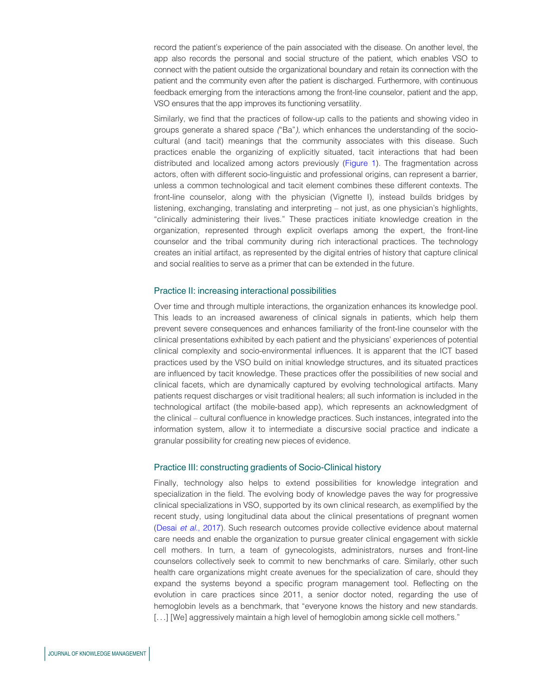record the patient's experience of the pain associated with the disease. On another level, the app also records the personal and social structure of the patient, which enables VSO to connect with the patient outside the organizational boundary and retain its connection with the patient and the community even after the patient is discharged. Furthermore, with continuous feedback emerging from the interactions among the front-line counselor, patient and the app, VSO ensures that the app improves its functioning versatility.

Similarly, we find that the practices of follow-up calls to the patients and showing video in groups generate a shared space *(*"Ba"*),* which enhances the understanding of the sociocultural (and tacit) meanings that the community associates with this disease. Such practices enable the organizing of explicitly situated, tacit interactions that had been distributed and localized among actors previously (Figure 1). The fragmentation across actors, often with different socio-linguistic and professional origins, can represent a barrier, unless a common technological and tacit element combines these different contexts. The front-line counselor, along with the physician (Vignette I), instead builds bridges by listening, exchanging, translating and interpreting – not just, as one physician's highlights, "clinically administering their lives." These practices initiate knowledge creation in the organization, represented through explicit overlaps among the expert, the front-line counselor and the tribal community during rich interactional practices. The technology creates an initial artifact, as represented by the digital entries of history that capture clinical and social realities to serve as a primer that can be extended in the future.

### Practice II: increasing interactional possibilities

Over time and through multiple interactions, the organization enhances its knowledge pool. This leads to an increased awareness of clinical signals in patients, which help them prevent severe consequences and enhances familiarity of the front-line counselor with the clinical presentations exhibited by each patient and the physicians' experiences of potential clinical complexity and socio-environmental influences. It is apparent that the ICT based practices used by the VSO build on initial knowledge structures, and its situated practices are influenced by tacit knowledge. These practices offer the possibilities of new social and clinical facets, which are dynamically captured by evolving technological artifacts. Many patients request discharges or visit traditional healers; all such information is included in the technological artifact (the mobile-based app), which represents an acknowledgment of the clinical – cultural confluence in knowledge practices. Such instances, integrated into the information system, allow it to intermediate a discursive social practice and indicate a granular possibility for creating new pieces of evidence.

### Practice III: constructing gradients of Socio-Clinical history

Finally, technology also helps to extend possibilities for knowledge integration and specialization in the field. The evolving body of knowledge paves the way for progressive clinical specializations in VSO, supported by its own clinical research, as exemplified by the recent study, using longitudinal data about the clinical presentations of pregnant women (Desai *et al.*, 2017). Such research outcomes provide collective evidence about maternal care needs and enable the organization to pursue greater clinical engagement with sickle cell mothers. In turn, a team of gynecologists, administrators, nurses and front-line counselors collectively seek to commit to new benchmarks of care. Similarly, other such health care organizations might create avenues for the specialization of care, should they expand the systems beyond a specific program management tool. Reflecting on the evolution in care practices since 2011, a senior doctor noted, regarding the use of hemoglobin levels as a benchmark, that "everyone knows the history and new standards. [...] [We] aggressively maintain a high level of hemoglobin among sickle cell mothers."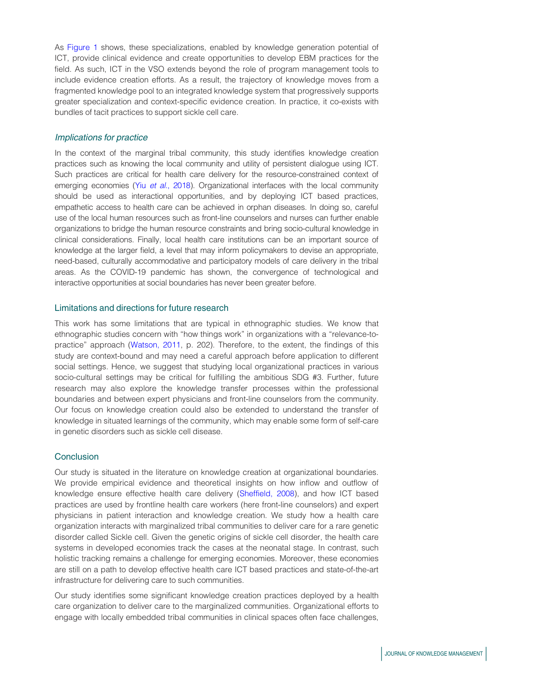As Figure 1 shows, these specializations, enabled by knowledge generation potential of ICT, provide clinical evidence and create opportunities to develop EBM practices for the field. As such, ICT in the VSO extends beyond the role of program management tools to include evidence creation efforts. As a result, the trajectory of knowledge moves from a fragmented knowledge pool to an integrated knowledge system that progressively supports greater specialization and context-specific evidence creation. In practice, it co-exists with bundles of tacit practices to support sickle cell care.

### Implications for practice

In the context of the marginal tribal community, this study identifies knowledge creation practices such as knowing the local community and utility of persistent dialogue using ICT. Such practices are critical for health care delivery for the resource-constrained context of emerging economies (Yiu *et al.*, 2018). Organizational interfaces with the local community should be used as interactional opportunities, and by deploying ICT based practices, empathetic access to health care can be achieved in orphan diseases. In doing so, careful use of the local human resources such as front-line counselors and nurses can further enable organizations to bridge the human resource constraints and bring socio-cultural knowledge in clinical considerations. Finally, local health care institutions can be an important source of knowledge at the larger field, a level that may inform policymakers to devise an appropriate, need-based, culturally accommodative and participatory models of care delivery in the tribal areas. As the COVID-19 pandemic has shown, the convergence of technological and interactive opportunities at social boundaries has never been greater before.

### Limitations and directions for future research

This work has some limitations that are typical in ethnographic studies. We know that ethnographic studies concern with "how things work" in organizations with a "relevance-topractice" approach (Watson, 2011, p. 202). Therefore, to the extent, the findings of this study are context-bound and may need a careful approach before application to different social settings. Hence, we suggest that studying local organizational practices in various socio-cultural settings may be critical for fulfilling the ambitious SDG #3. Further, future research may also explore the knowledge transfer processes within the professional boundaries and between expert physicians and front-line counselors from the community. Our focus on knowledge creation could also be extended to understand the transfer of knowledge in situated learnings of the community, which may enable some form of self-care in genetic disorders such as sickle cell disease.

### **Conclusion**

Our study is situated in the literature on knowledge creation at organizational boundaries. We provide empirical evidence and theoretical insights on how inflow and outflow of knowledge ensure effective health care delivery (Sheffield, 2008), and how ICT based practices are used by frontline health care workers (here front-line counselors) and expert physicians in patient interaction and knowledge creation. We study how a health care organization interacts with marginalized tribal communities to deliver care for a rare genetic disorder called Sickle cell. Given the genetic origins of sickle cell disorder, the health care systems in developed economies track the cases at the neonatal stage. In contrast, such holistic tracking remains a challenge for emerging economies. Moreover, these economies are still on a path to develop effective health care ICT based practices and state-of-the-art infrastructure for delivering care to such communities.

Our study identifies some significant knowledge creation practices deployed by a health care organization to deliver care to the marginalized communities. Organizational efforts to engage with locally embedded tribal communities in clinical spaces often face challenges,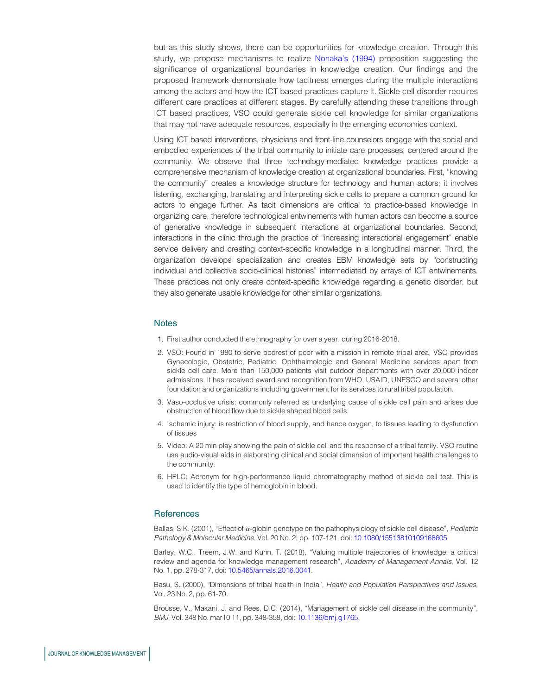but as this study shows, there can be opportunities for knowledge creation. Through this study, we propose mechanisms to realize Nonaka's (1994) proposition suggesting the significance of organizational boundaries in knowledge creation. Our findings and the proposed framework demonstrate how tacitness emerges during the multiple interactions among the actors and how the ICT based practices capture it. Sickle cell disorder requires different care practices at different stages. By carefully attending these transitions through ICT based practices, VSO could generate sickle cell knowledge for similar organizations that may not have adequate resources, especially in the emerging economies context.

Using ICT based interventions, physicians and front-line counselors engage with the social and embodied experiences of the tribal community to initiate care processes, centered around the community. We observe that three technology-mediated knowledge practices provide a comprehensive mechanism of knowledge creation at organizational boundaries. First, "knowing the community" creates a knowledge structure for technology and human actors; it involves listening, exchanging, translating and interpreting sickle cells to prepare a common ground for actors to engage further. As tacit dimensions are critical to practice-based knowledge in organizing care, therefore technological entwinements with human actors can become a source of generative knowledge in subsequent interactions at organizational boundaries. Second, interactions in the clinic through the practice of "increasing interactional engagement" enable service delivery and creating context-specific knowledge in a longitudinal manner. Third, the organization develops specialization and creates EBM knowledge sets by "constructing individual and collective socio-clinical histories" intermediated by arrays of ICT entwinements. These practices not only create context-specific knowledge regarding a genetic disorder, but they also generate usable knowledge for other similar organizations.

### **Notes**

- 1. First author conducted the ethnography for over a year, during 2016-2018.
- 2. VSO: Found in 1980 to serve poorest of poor with a mission in remote tribal area. VSO provides Gynecologic, Obstetric, Pediatric, Ophthalmologic and General Medicine services apart from sickle cell care. More than 150,000 patients visit outdoor departments with over 20,000 indoor admissions. It has received award and recognition from WHO, USAID, UNESCO and several other foundation and organizations including government for its services to rural tribal population.
- 3. Vaso-occlusive crisis: commonly referred as underlying cause of sickle cell pain and arises due obstruction of blood flow due to sickle shaped blood cells.
- 4. Ischemic injury: is restriction of blood supply, and hence oxygen, to tissues leading to dysfunction of tissues
- 5. Video: A 20 min play showing the pain of sickle cell and the response of a tribal family. VSO routine use audio-visual aids in elaborating clinical and social dimension of important health challenges to the community.
- 6. HPLC: Acronym for high-performance liquid chromatography method of sickle cell test. This is used to identify the type of hemoglobin in blood.

### **References**

Ballas, S.K. (2001), "Effect of <sup>a</sup>-globin genotype on the pathophysiology of sickle cell disease", *Pediatric Pathology & Molecular Medicine*, Vol. 20 No. 2, pp. 107-121, doi: 10.1080/15513810109168605.

Barley, W.C., Treem, J.W. and Kuhn, T. (2018), "Valuing multiple trajectories of knowledge: a critical review and agenda for knowledge management research", *Academy of Management Annals*, Vol. 12 No. 1, pp. 278-317, doi: 10.5465/annals.2016.0041.

Basu, S. (2000), "Dimensions of tribal health in India", *Health and Population Perspectives and Issues*, Vol. 23 No. 2, pp. 61-70.

Brousse, V., Makani, J. and Rees, D.C. (2014), "Management of sickle cell disease in the community", *BMJ*, Vol. 348 No. mar10 11, pp. 348-358, doi: 10.1136/bmj.g1765.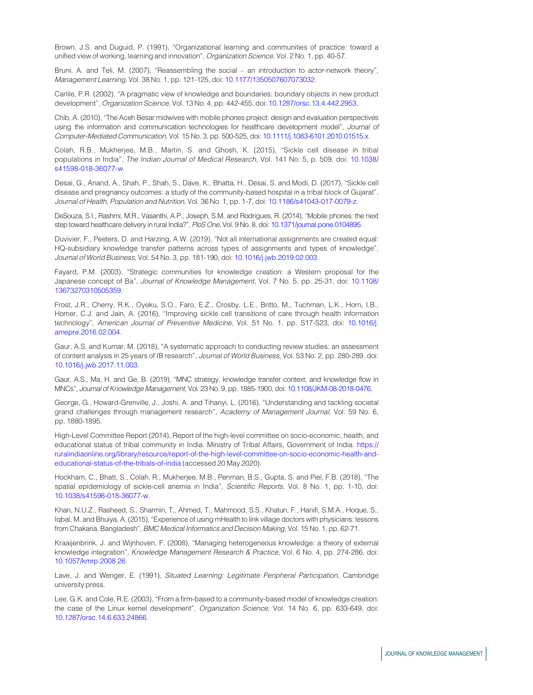Brown, J.S. and Duguid, P. (1991), "Organizational learning and communities of practice: toward a unified view of working, learning and innovation", *Organization Science*, Vol. 2 No. 1, pp. 40-57.

Bruni, A. and Teli, M. (2007), "Reassembling the social – an introduction to actor-network theory", *Management Learning*, Vol. 38 No. 1, pp. 121-125, doi: 10.1177/1350507607073032.

Carlile, P.R. (2002), "A pragmatic view of knowledge and boundaries: boundary objects in new product development", *Organization Science*, Vol. 13 No. 4, pp. 442-455, doi: 10.1287/orsc.13.4.442.2953.

Chib, A. (2010), "The Aceh Besar midwives with mobile phones project: design and evaluation perspectives using the information and communication technologies for healthcare development model", *Journal of Computer-Mediated Communication*, Vol. 15 No. 3, pp. 500-525, doi: 10.1111/j.1083-6101.2010.01515.x.

Colah, R.B., Mukherjee, M.B., Martin, S. and Ghosh, K. (2015), "Sickle cell disease in tribal populations in India", *The Indian Journal of Medical Research*, Vol. 141 No. 5, p. 509, doi: 10.1038/ s41598-018-36077-w.

Desai, G., Anand, A., Shah, P., Shah, S., Dave, K., Bhatta, H., Desai, S. and Modi, D. (2017), "Sickle cell disease and pregnancy outcomes: a study of the community-based hospital in a tribal block of Gujarat", *Journal of Health, Population and Nutrition*, Vol. 36 No. 1, pp. 1-7, doi: 10.1186/s41043-017-0079-z.

DeSouza, S.I., Rashmi, M.R., Vasanthi, A.P., Joseph, S.M. and Rodrigues, R. (2014), "Mobile phones: the next step toward healthcare delivery in rural India?", *PloS One*, Vol. 9 No. 8, doi: 10.1371/journal.pone.0104895.

Duvivier, F., Peeters, D. and Harzing, A.W. (2019), "Not all international assignments are created equal: HQ-subsidiary knowledge transfer patterns across types of assignments and types of knowledge", *Journal of World Business*, Vol. 54 No. 3, pp. 181-190, doi: 10.1016/j.jwb.2019.02.003.

Fayard, P.M. (2003), "Strategic communities for knowledge creation: a Western proposal for the Japanese concept of Ba", *Journal of Knowledge Management*, Vol. 7 No. 5, pp. 25-31, doi: 10.1108/ 13673270310505359.

Frost, J.R., Cherry, R.K., Oyeku, S.O., Faro, E.Z., Crosby, L.E., Britto, M., Tuchman, L.K., Horn, I.B., Homer, C.J. and Jain, A. (2016), "Improving sickle cell transitions of care through health information technology", *American Journal of Preventive Medicine*, Vol. 51 No. 1, pp. S17-S23, doi: 10.1016/j. amepre.2016.02.004.

Gaur, A.S. and Kumar, M. (2018), "A systematic approach to conducting review studies: an assessment of content analysis in 25 years of IB research", *Journal of World Business*, Vol. 53 No. 2, pp. 280-289, doi: 10.1016/j.jwb.2017.11.003.

Gaur, A.S., Ma, H. and Ge, B. (2019), "MNC strategy, knowledge transfer context, and knowledge flow in MNCs", *Journal of Knowledge Management*, Vol. 23 No. 9, pp. 1885-1900, doi: 10.1108/JKM-08-2018-0476.

George, G., Howard-Grenville, J., Joshi, A. and Tihanyi, L. (2016), "Understanding and tackling societal grand challenges through management research", *Academy of Management Journal*, Vol. 59 No. 6, pp. 1880-1895.

High-Level Committee Report (2014), Report of the high-level committee on socio-economic, health, and educational status of tribal community in India. Ministry of Tribal Affairs, Government of India. https:// ruralindiaonline.org/library/resource/report-of-the-high-level-committee-on-socio-economic-health-andeducational-status-of-the-tribals-of-india (accessed 20 May 2020).

Hockham, C., Bhatt, S., Colah, R., Mukherjee, M.B., Penman, B.S., Gupta, S. and Piel, F.B. (2018), "The spatial epidemiology of sickle-cell anemia in India", *Scientific Reports*, Vol. 8 No. 1, pp. 1-10, doi: 10.1038/s41598-018-36077-w.

Khan, N.U.Z., Rasheed, S., Sharmin, T., Ahmed, T., Mahmood, S.S., Khatun, F., Hanifi, S.M.A., Hoque, S., Iqbal, M. and Bhuiya, A. (2015), "Experience of using mHealth to link village doctors with physicians: lessons from Chakaria, Bangladesh", *BMC Medical Informatics and Decision Making*, Vol. 15 No. 1, pp. 62-71.

Kraaijenbrink, J. and Wijnhoven, F. (2008), "Managing heterogeneous knowledge: a theory of external knowledge integration", *Knowledge Management Research & Practice*, Vol. 6 No. 4, pp. 274-286, doi: 10.1057/kmrp.2008.26.

Lave, J. and Wenger, E. (1991), *Situated Learning: Legitimate Peripheral Participation*, Cambridge university press.

Lee, G.K. and Cole, R.E. (2003), "From a firm-based to a community-based model of knowledge creation: the case of the Linux kernel development", *Organization Science*, Vol. 14 No. 6, pp. 633-649, doi: 10.1287/orsc.14.6.633.24866.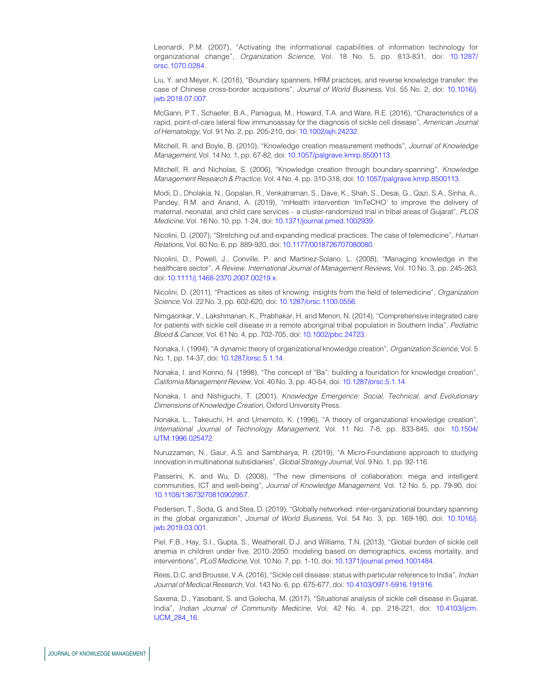Leonardi, P.M. (2007), "Activating the informational capabilities of information technology for organizational change", *Organization Science*, Vol. 18 No. 5, pp. 813-831, doi: 10.1287/ orsc.1070.0284.

Liu, Y. and Meyer, K. (2018), "Boundary spanners, HRM practices, and reverse knowledge transfer: the case of Chinese cross-border acquisitions", *Journal of World Business*, Vol. 55 No. 2, doi: 10.1016/j. jwb.2018.07.007.

McGann, P.T., Schaefer, B.A., Paniagua, M., Howard, T.A. and Ware, R.E. (2016), "Characteristics of a rapid, point-of-care lateral flow immunoassay for the diagnosis of sickle cell disease", *American Journal of Hematology*, Vol. 91 No. 2, pp. 205-210, doi: 10.1002/ajh.24232.

Mitchell, R. and Boyle, B. (2010), "Knowledge creation measurement methods", *Journal of Knowledge Management*, Vol. 14 No. 1, pp. 67-82, doi: 10.1057/palgrave.kmrp.8500113.

Mitchell, R. and Nicholas, S. (2006), "Knowledge creation through boundary-spanning", *Knowledge Management Research & Practice*, Vol. 4 No. 4, pp. 310-318, doi: 10.1057/palgrave.kmrp.8500113.

Modi, D., Dholakia, N., Gopalan, R., Venkatraman, S., Dave, K., Shah, S., Desai, G., Qazi, S.A., Sinha, A., Pandey, R.M. and Anand, A. (2019), "mHealth intervention 'ImTeCHO' to improve the delivery of maternal, neonatal, and child care services – a cluster-randomized trial in tribal areas of Gujarat", *PLOS Medicine*, Vol. 16 No. 10, pp. 1-24, doi: 10.1371/journal.pmed.1002939.

Nicolini, D. (2007), "Stretching out and expanding medical practices. The case of telemedicine", *Human Relations*, Vol. 60 No. 6, pp. 889-920, doi: 10.1177/0018726707080080.

Nicolini, D., Powell, J., Conville, P. and Martinez-Solano, L. (2008), "Managing knowledge in the healthcare sector", *A Review. International Journal of Management Reviews*, Vol. 10 No. 3, pp. 245-263, doi: 10.1111/j.1468-2370.2007.00219.x.

Nicolini, D. (2011), "Practices as sites of knowing: insights from the field of telemedicine", *Organization Science*, Vol. 22 No. 3, pp. 602-620, doi: 10.1287/orsc.1100.0556.

Nimgaonkar, V., Lakshmanan, K., Prabhakar, H. and Menon, N. (2014), "Comprehensive integrated care for patients with sickle cell disease in a remote aboriginal tribal population in Southern India", *Pediatric Blood & Cancer*, Vol. 61 No. 4, pp. 702-705, doi: 10.1002/pbc.24723.

Nonaka, I. (1994), "A dynamic theory of organizational knowledge creation", *Organization Science*, Vol. 5 No. 1, pp. 14-37, doi: 10.1287/orsc.5.1.14.

Nonaka, I. and Konno, N. (1998), "The concept of "Ba": building a foundation for knowledge creation", *California Management Review*, Vol. 40 No. 3, pp. 40-54, doi: 10.1287/orsc.5.1.14.

Nonaka, I. and Nishiguchi, T. (2001), *Knowledge Emergence: Social, Technical, and Evolutionary Dimensions of Knowledge Creation*, Oxford University Press.

Nonaka, L., Takeuchi, H. and Umemoto, K. (1996), "A theory of organizational knowledge creation", *International Journal of Technology Management*, Vol. 11 No. 7-8, pp. 833-845, doi: 10.1504/ IJTM.1996.025472.

Nuruzzaman, N., Gaur, A.S. and Sambharya, R. (2019), "A Micro-Foundations approach to studying innovation in multinational subsidiaries", *Global Strategy Journal*, Vol. 9 No. 1, pp. 92-116.

Passerini, K. and Wu, D. (2008), "The new dimensions of collaboration: mega and intelligent communities, ICT and well-being", *Journal of Knowledge Management*, Vol. 12 No. 5, pp. 79-90, doi: 10.1108/13673270810902957.

Pedersen, T., Soda, G. and Stea, D. (2019), "Globally networked: inter-organizational boundary spanning in the global organization", *Journal of World Business*, Vol. 54 No. 3, pp. 169-180, doi: 10.1016/j. jwb.2019.03.001.

Piel, F.B., Hay, S.I., Gupta, S., Weatherall, D.J. and Williams, T.N. (2013), "Global burden of sickle cell anemia in children under five, 2010–2050: modeling based on demographics, excess mortality, and interventions", *PLoS Medicine*, Vol. 10 No. 7, pp. 1-10, doi: 10.1371/journal.pmed.1001484.

Rees, D.C. and Brousse, V.A. (2016), "Sickle cell disease: status with particular reference to India", *Indian Journal of Medical Research*, Vol. 143 No. 6, pp. 675-677, doi: 10.4103/0971-5916.191916.

Saxena, D., Yasobant, S. and Golecha, M. (2017), "Situational analysis of sickle cell disease in Gujarat, India", *Indian Journal of Community Medicine*, Vol. 42 No. 4, pp. 218-221, doi: 10.4103/ijcm. IJCM\_284\_16.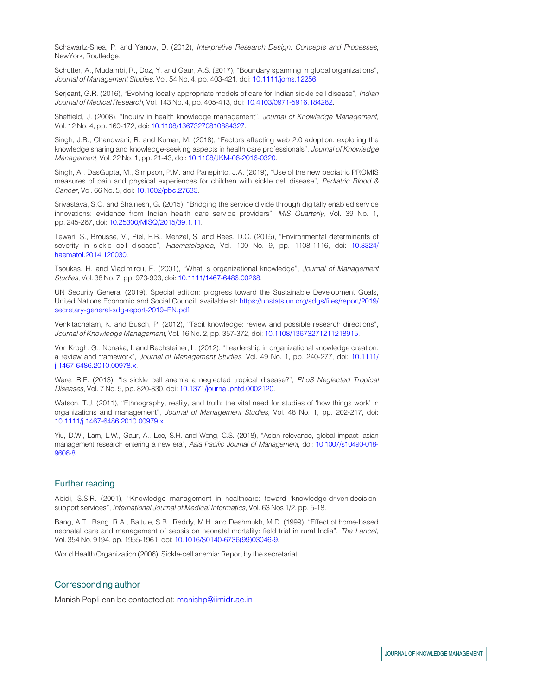Schawartz-Shea, P. and Yanow, D. (2012), *Interpretive Research Design: Concepts and Processes*, NewYork, Routledge.

Schotter, A., Mudambi, R., Doz, Y. and Gaur, A.S. (2017), "Boundary spanning in global organizations", *Journal of Management Studies*, Vol. 54 No. 4, pp. 403-421, doi: 10.1111/joms.12256.

Serjeant, G.R. (2016), "Evolving locally appropriate models of care for Indian sickle cell disease", *Indian Journal of Medical Research*, Vol. 143 No. 4, pp. 405-413, doi: 10.4103/0971-5916.184282.

Sheffield, J. (2008), "Inquiry in health knowledge management", *Journal of Knowledge Management*, Vol. 12 No. 4, pp. 160-172, doi: 10.1108/13673270810884327.

Singh, J.B., Chandwani, R. and Kumar, M. (2018), "Factors affecting web 2.0 adoption: exploring the knowledge sharing and knowledge-seeking aspects in health care professionals", *Journal of Knowledge Management*, Vol. 22 No. 1, pp. 21-43, doi: 10.1108/JKM-08-2016-0320.

Singh, A., DasGupta, M., Simpson, P.M. and Panepinto, J.A. (2019), "Use of the new pediatric PROMIS measures of pain and physical experiences for children with sickle cell disease", *Pediatric Blood & Cancer*, Vol. 66 No. 5, doi: 10.1002/pbc.27633.

Srivastava, S.C. and Shainesh, G. (2015), "Bridging the service divide through digitally enabled service innovations: evidence from Indian health care service providers", *MIS Quarterly*, Vol. 39 No. 1, pp. 245-267, doi: 10.25300/MISQ/2015/39.1.11.

Tewari, S., Brousse, V., Piel, F.B., Menzel, S. and Rees, D.C. (2015), "Environmental determinants of severity in sickle cell disease", *Haematologica*, Vol. 100 No. 9, pp. 1108-1116, doi: 10.3324/ haematol.2014.120030.

Tsoukas, H. and Vladimirou, E. (2001), "What is organizational knowledge", *Journal of Management Studies*, Vol. 38 No. 7, pp. 973-993, doi: 10.1111/1467-6486.00268.

UN Security General (2019), Special edition: progress toward the Sustainable Development Goals, United Nations Economic and Social Council, available at: https://unstats.un.org/sdgs/files/report/2019/ secretary-general-sdg-report-2019–EN.pdf

Venkitachalam, K. and Busch, P. (2012), "Tacit knowledge: review and possible research directions", *Journal of Knowledge Management*, Vol. 16 No. 2, pp. 357-372, doi: 10.1108/13673271211218915.

Von Krogh, G., Nonaka, I. and Rechsteiner, L. (2012), "Leadership in organizational knowledge creation: a review and framework", *Journal of Management Studies*, Vol. 49 No. 1, pp. 240-277, doi: 10.1111/ j.1467-6486.2010.00978.x.

Ware, R.E. (2013), "Is sickle cell anemia a neglected tropical disease?", *PLoS Neglected Tropical Diseases*, Vol. 7 No. 5, pp. 820-830, doi: 10.1371/journal.pntd.0002120.

Watson, T.J. (2011), "Ethnography, reality, and truth: the vital need for studies of 'how things work' in organizations and management", *Journal of Management Studies*, Vol. 48 No. 1, pp. 202-217, doi: 10.1111/j.1467-6486.2010.00979.x.

Yiu, D.W., Lam, L.W., Gaur, A., Lee, S.H. and Wong, C.S. (2018), "Asian relevance, global impact: asian management research entering a new era", *Asia Pacific Journal of Management*, doi: 10.1007/s10490-018- 9606-8.

### Further reading

Abidi, S.S.R. (2001), "Knowledge management in healthcare: toward 'knowledge-driven'decisionsupport services", *International Journal of Medical Informatics*, Vol. 63 Nos 1/2, pp. 5-18.

Bang, A.T., Bang, R.A., Baitule, S.B., Reddy, M.H. and Deshmukh, M.D. (1999), "Effect of home-based neonatal care and management of sepsis on neonatal mortality: field trial in rural India", *The Lancet*, Vol. 354 No. 9194, pp. 1955-1961, doi: 10.1016/S0140-6736(99)03046-9.

World Health Organization (2006), Sickle-cell anemia: Report by the secretariat.

### Corresponding author

Manish Popli can be contacted at: manishp@iimidr.ac.in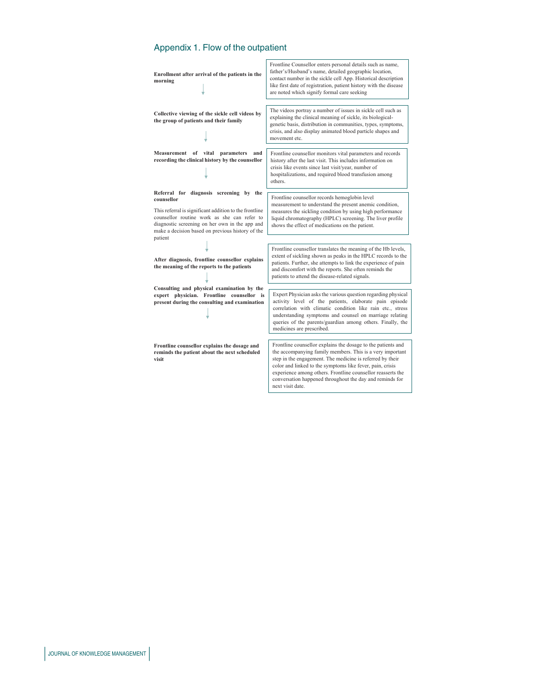# Appendix 1. Flow of the outpatient

| Enrollment after arrival of the patients in the<br>morning                                                                                                                                                                                                                      | Frontline Counsellor enters personal details such as name,<br>father's/Husband's name, detailed geographic location,<br>contact number in the sickle cell App. Historical description<br>like first date of registration, patient history with the disease<br>are noted which signify formal care seeking                                                                                          |
|---------------------------------------------------------------------------------------------------------------------------------------------------------------------------------------------------------------------------------------------------------------------------------|----------------------------------------------------------------------------------------------------------------------------------------------------------------------------------------------------------------------------------------------------------------------------------------------------------------------------------------------------------------------------------------------------|
| Collective viewing of the sickle cell videos by<br>the group of patients and their family                                                                                                                                                                                       | The videos portray a number of issues in sickle cell such as<br>explaining the clinical meaning of sickle, its biological-<br>genetic basis, distribution in communities, types, symptoms,<br>crisis, and also display animated blood particle shapes and<br>movement etc.                                                                                                                         |
| Measurement of<br>vital<br>parameters<br>and<br>recording the clinical history by the counsellor                                                                                                                                                                                | Frontline counsellor monitors vital parameters and records<br>history after the last visit. This includes information on<br>crisis like events since last visit/year, number of<br>hospitalizations, and required blood transfusion among<br>others.                                                                                                                                               |
| Referral for diagnosis screening by the<br>counsellor<br>This referral is significant addition to the frontline<br>counsellor routine work as she can refer to<br>diagnostic screening on her own in the app and<br>make a decision based on previous history of the<br>patient | Frontline counsellor records hemoglobin level<br>measurement to understand the present anemic condition,<br>measures the sickling condition by using high performance<br>liquid chromatography (HPLC) screening. The liver profile<br>shows the effect of medications on the patient.                                                                                                              |
| After diagnosis, frontline counsellor explains<br>the meaning of the reports to the patients                                                                                                                                                                                    | Frontline counsellor translates the meaning of the Hb levels,<br>extent of sickling shown as peaks in the HPLC records to the<br>patients. Further, she attempts to link the experience of pain<br>and discomfort with the reports. She often reminds the<br>patients to attend the disease-related signals.                                                                                       |
| Consulting and physical examination by the<br>expert physician. Frontline counsellor is<br>present during the consulting and examination                                                                                                                                        | Expert Physician asks the various question regarding physical<br>activity level of the patients, elaborate pain episode<br>correlation with climatic condition like rain etc., stress<br>understanding symptoms and counsel on marriage relating<br>queries of the parents/guardian among others. Finally, the<br>medicines are prescribed.                                                        |
| Frontline counsellor explains the dosage and<br>reminds the patient about the next scheduled<br>visit                                                                                                                                                                           | Frontline counsellor explains the dosage to the patients and<br>the accompanying family members. This is a very important<br>step in the engagement. The medicine is referred by their<br>color and linked to the symptoms like fever, pain, crisis<br>experience among others. Frontline counsellor reasserts the<br>conversation happened throughout the day and reminds for<br>next visit date. |